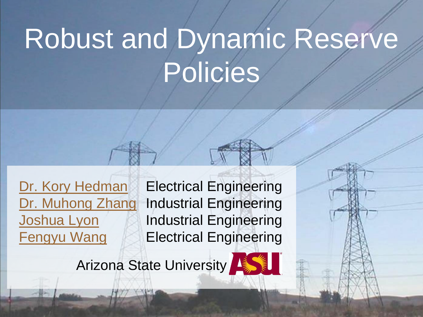# Robust and Dynamic Reserve Policies

[Dr. Kory Hedman](mailto:Kory.Hedman@asu.edu) Electrical Engineering [Dr. Muhong](mailto:Muhong.Zhang@asu.edu) [Zhang](mailto:Muhong.Zhang@asu.edu) Industrial Engineering [Joshua Lyon](mailto:Joshua.Lyon@asu.edu) Industrial Engineering **[Fengyu](mailto:Fengyu.Wang@asu.edu) [Wang](mailto:Fengyu.Wang@asu.edu) Electrical Engineering** 

Arizona State University

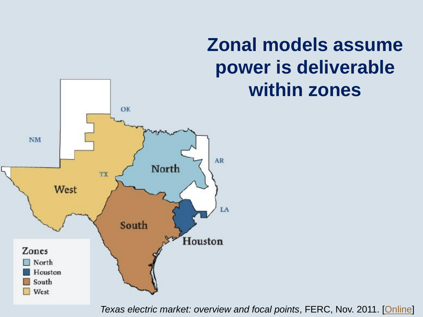### **Zonal models assume power is deliverable within zones**



2 *Texas electric market: overview and focal points*, FERC, Nov. 2011. [[Online](http://www.ferc.gov/market-oversight/mkt-electric/texas/2011/11-2011-elec-tx-archive.pdf)]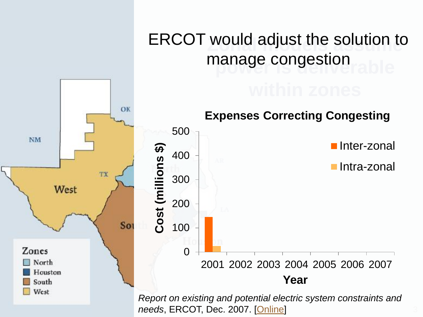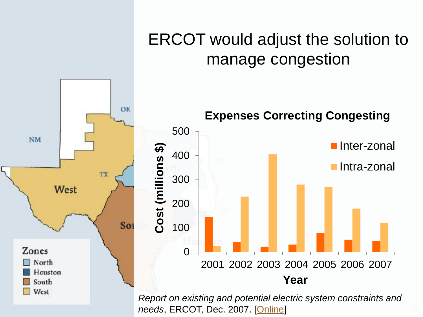

# ERCOT would adjust the solution to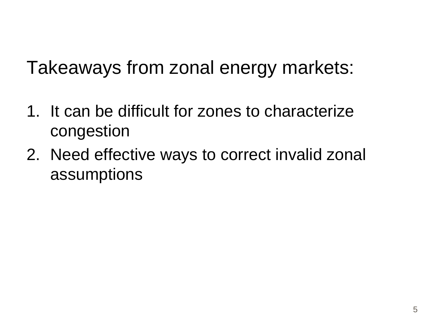## Takeaways from zonal energy markets:

- 1. It can be difficult for zones to characterize congestion
- 2. Need effective ways to correct invalid zonal assumptions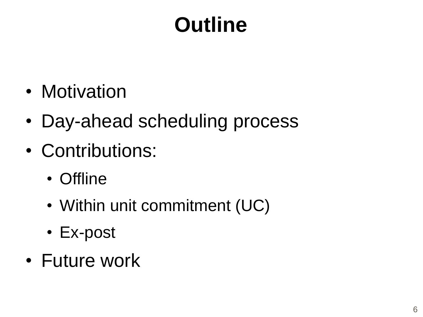## **Outline**

- Motivation
- Day-ahead scheduling process
- Contributions:
	- Offline
	- Within unit commitment (UC)
	- Ex-post
- Future work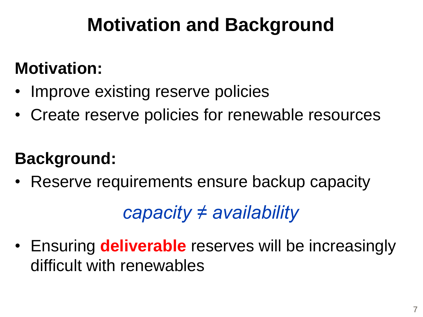## **Motivation and Background**

#### **Motivation:**

- Improve existing reserve policies
- Create reserve policies for renewable resources

#### **Background:**

• Reserve requirements ensure backup capacity

*capacity ≠ availability*

• Ensuring **deliverable** reserves will be increasingly difficult with renewables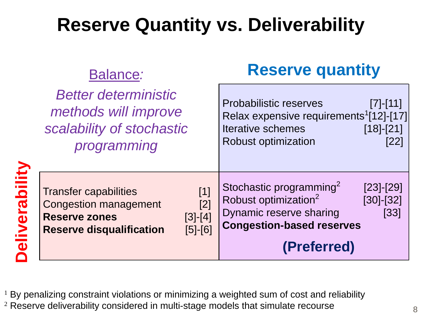## **Reserve Quantity vs. Deliverability**

|              | Balance:                                                                                                                                                                  | <b>Reserve quantity</b>                                                                                                                                                                           |  |
|--------------|---------------------------------------------------------------------------------------------------------------------------------------------------------------------------|---------------------------------------------------------------------------------------------------------------------------------------------------------------------------------------------------|--|
|              | <b>Better deterministic</b><br>methods will improve<br>scalability of stochastic<br>programming                                                                           | <b>Probabilistic reserves</b><br>$[7]$ - $[11]$<br>Relax expensive requirements <sup>1</sup> [12]-[17]<br>$[18]-[21]$<br><b>Iterative schemes</b><br><b>Robust optimization</b><br>[22]           |  |
| liverability | $[1]$<br><b>Transfer capabilities</b><br>$[2]$<br><b>Congestion management</b><br>$[3]$ - $[4]$<br><b>Reserve zones</b><br><b>Reserve disqualification</b><br>$[5] - [6]$ | Stochastic programming <sup>2</sup><br>$[23] - [29]$<br>Robust optimization <sup>2</sup><br>$[30]$ - $[32]$<br>Dynamic reserve sharing<br>[33]<br><b>Congestion-based reserves</b><br>(Preferred) |  |

 $1$  By penalizing constraint violations or minimizing a weighted sum of cost and reliability <sup>2</sup> Reserve deliverability considered in multi-stage models that simulate recourse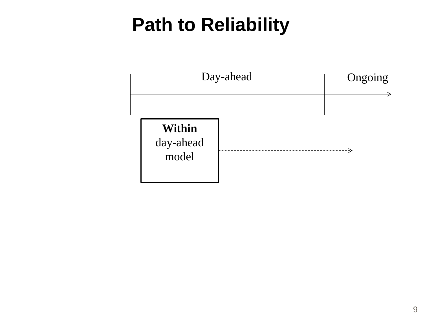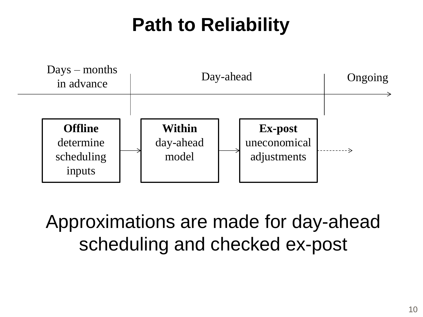

Approximations are made for day-ahead scheduling and checked ex-post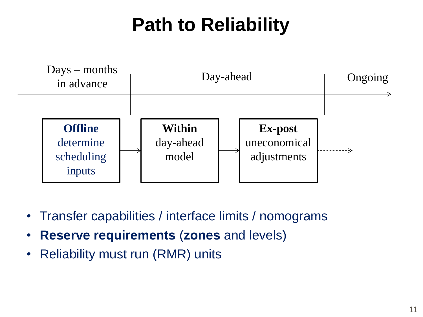

- Transfer capabilities / interface limits / nomograms
- **Reserve requirements** (**zones** and levels)
- Reliability must run (RMR) units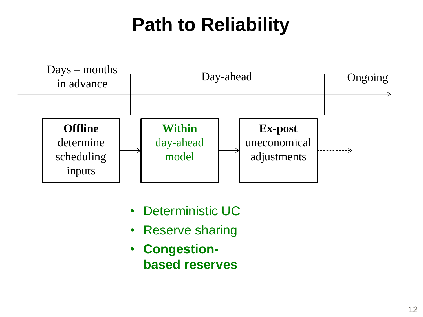

- Deterministic UC
- Reserve sharing
- **Congestionbased reserves**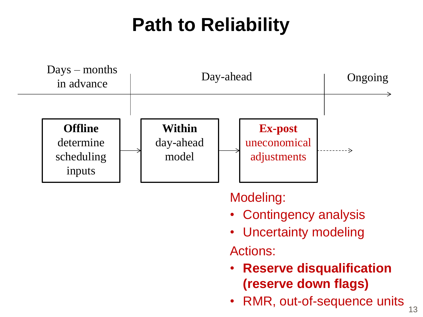

Modeling:

- Contingency analysis
- Uncertainty modeling

Actions:

- **Reserve disqualification (reserve down flags)**
- RMR, out-of-sequence units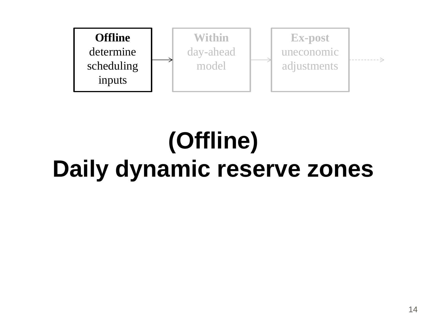

## **(Offline) Daily dynamic reserve zones**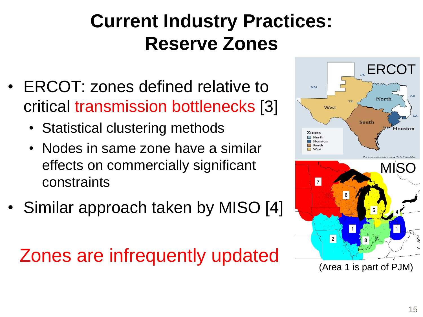## **Current Industry Practices: Reserve Zones**

- ERCOT: zones defined relative to critical transmission bottlenecks [3]
	- Statistical clustering methods
	- Nodes in same zone have a similar effects on commercially significant constraints
- Similar approach taken by MISO [4]

Zones are infrequently updated

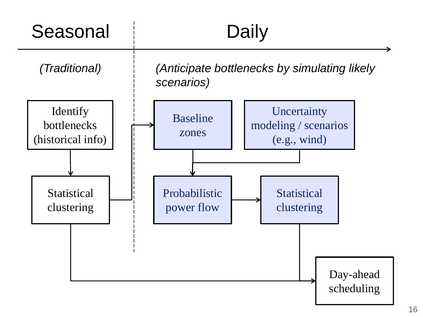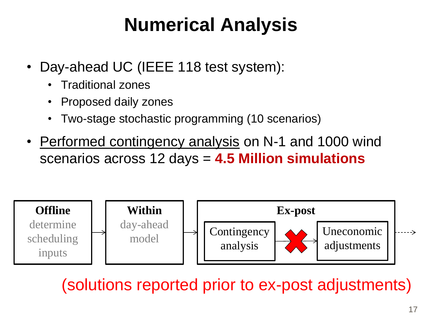## **Numerical Analysis**

- Day-ahead UC (IEEE 118 test system):
	- Traditional zones
	- Proposed daily zones
	- Two-stage stochastic programming (10 scenarios)
- Performed contingency analysis on N-1 and 1000 wind scenarios across 12 days = **4.5 Million simulations**



(solutions reported prior to ex-post adjustments)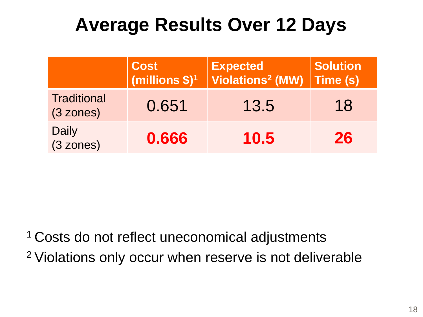|                                           | Cost<br>(millions \$) <sup>1</sup> | <b>Expected</b><br>Violations <sup>2</sup> (MW) | <b>Solution</b><br>Time (s) |
|-------------------------------------------|------------------------------------|-------------------------------------------------|-----------------------------|
| <b>Traditional</b><br>(3 zones)           | 0.651                              | 13.5                                            | 18                          |
| <b>Daily</b><br>$(3 \space \text{zones})$ | 0.666                              | 10.5                                            | 26                          |

<sup>1</sup> Costs do not reflect uneconomical adjustments 2 Violations only occur when reserve is not deliverable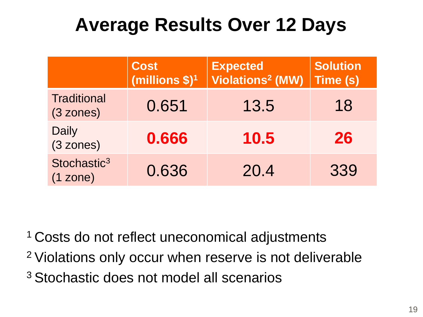|                                     | <b>Cost</b><br>(millions $$)^1$ | <b>Expected</b><br><b>Violations<sup>2</sup> (MW)</b> | <b>Solution</b><br>Time (s) |
|-------------------------------------|---------------------------------|-------------------------------------------------------|-----------------------------|
| <b>Traditional</b><br>(3 zones)     | 0.651                           | 13.5                                                  | 18                          |
| <b>Daily</b><br>(3 zones)           | 0.666                           | 10.5                                                  | 26                          |
| Stochastic <sup>3</sup><br>(1 zone) | 0.636                           | 20.4                                                  | 339                         |

<sup>1</sup> Costs do not reflect uneconomical adjustments <sup>2</sup>Violations only occur when reserve is not deliverable 3 Stochastic does not model all scenarios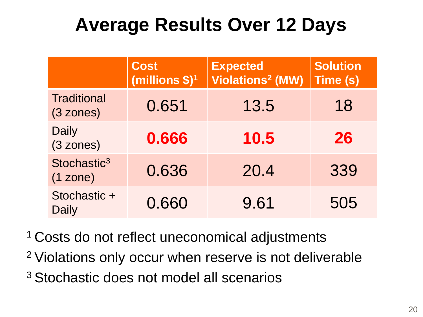|                                     | <b>Cost</b><br>(millions $$)^1$ | <b>Expected</b><br><b>Violations<sup>2</sup> (MW)</b> | <b>Solution</b><br>Time (s) |
|-------------------------------------|---------------------------------|-------------------------------------------------------|-----------------------------|
| <b>Traditional</b><br>(3 zones)     | 0.651                           | 13.5                                                  | 18                          |
| <b>Daily</b><br>(3 zones)           | 0.666                           | 10.5                                                  | 26                          |
| Stochastic <sup>3</sup><br>(1 zone) | 0.636                           | 20.4                                                  | 339                         |
| Stochastic +<br><b>Daily</b>        | 0.660                           | 9.61                                                  | 505                         |

- <sup>1</sup> Costs do not reflect uneconomical adjustments
- <sup>2</sup>Violations only occur when reserve is not deliverable
- 3 Stochastic does not model all scenarios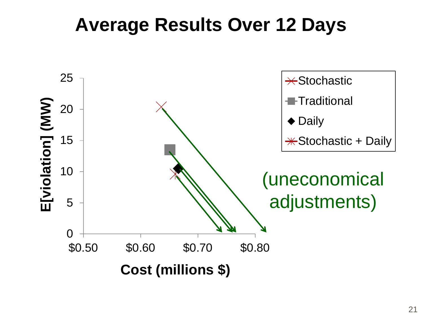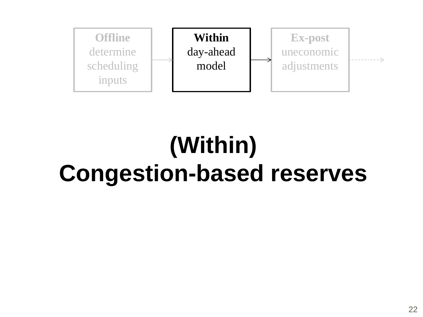

## **(Within) Congestion-based reserves**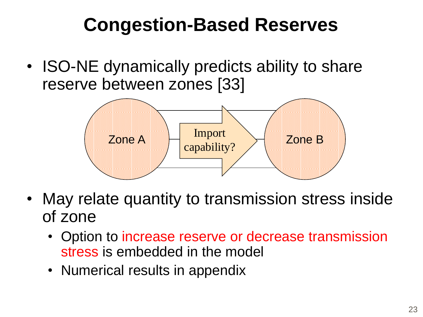## **Congestion-Based Reserves**

• ISO-NE dynamically predicts ability to share reserve between zones [33]



- May relate quantity to transmission stress inside of zone
	- Option to increase reserve or decrease transmission stress is embedded in the model
	- Numerical results in appendix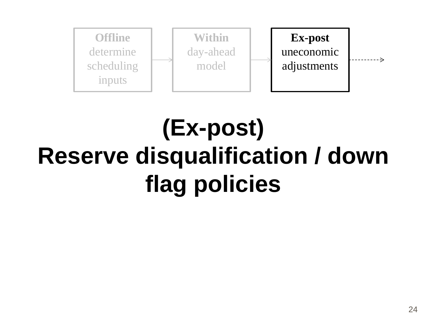

## **(Ex-post) Reserve disqualification / down flag policies**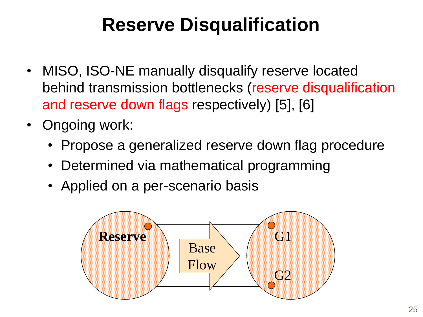## **Reserve Disqualification**

- MISO, ISO-NE manually disqualify reserve located behind transmission bottlenecks (reserve disqualification and reserve down flags respectively) [5], [6]
- Ongoing work:
	- Propose a generalized reserve down flag procedure
	- Determined via mathematical programming
	- Applied on a per-scenario basis

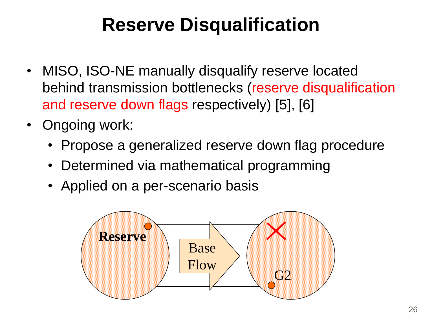## **Reserve Disqualification**

- MISO, ISO-NE manually disqualify reserve located behind transmission bottlenecks (reserve disqualification and reserve down flags respectively) [5], [6]
- Ongoing work:
	- Propose a generalized reserve down flag procedure
	- Determined via mathematical programming
	- Applied on a per-scenario basis

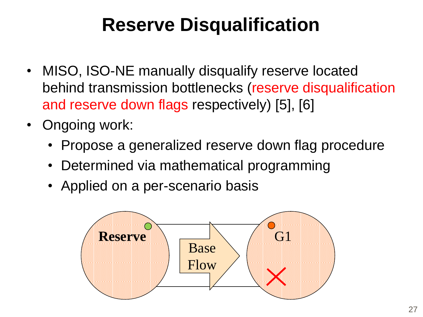## **Reserve Disqualification**

- MISO, ISO-NE manually disqualify reserve located behind transmission bottlenecks (reserve disqualification and reserve down flags respectively) [5], [6]
- Ongoing work:
	- Propose a generalized reserve down flag procedure
	- Determined via mathematical programming
	- Applied on a per-scenario basis

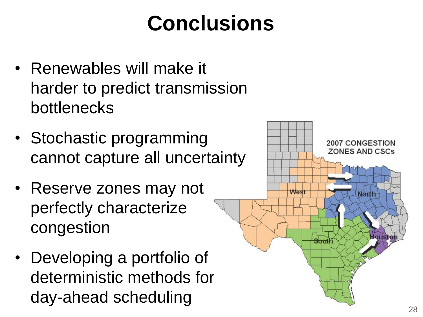## **Conclusions**

- Renewables will make it harder to predict transmission bottlenecks
- Stochastic programming cannot capture all uncertainty
- Reserve zones may not perfectly characterize congestion
- Developing a portfolio of deterministic methods for day-ahead scheduling

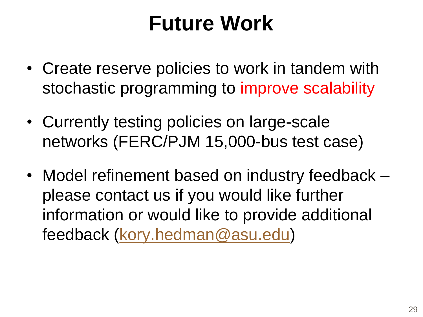## **Future Work**

- Create reserve policies to work in tandem with stochastic programming to improve scalability
- Currently testing policies on large-scale networks (FERC/PJM 15,000-bus test case)
- Model refinement based on industry feedback please contact us if you would like further information or would like to provide additional feedback [\(kory.hedman@asu.edu\)](mailto:kory.hedman@asu.edu)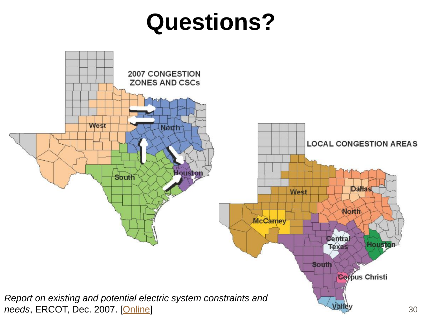## **Questions?**

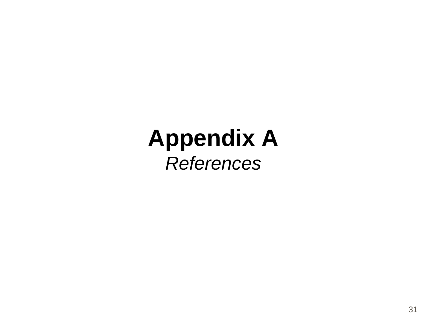## **Appendix A** *References*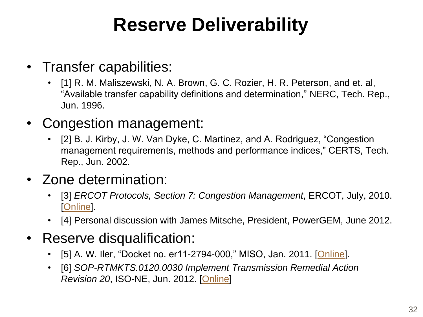## **Reserve Deliverability**

- Transfer capabilities:
	- [1] R. M. Maliszewski, N. A. Brown, G. C. Rozier, H. R. Peterson, and et. al, "Available transfer capability definitions and determination," NERC, Tech. Rep., Jun. 1996.
- Congestion management:
	- [2] B. J. Kirby, J. W. Van Dyke, C. Martinez, and A. Rodriguez, "Congestion management requirements, methods and performance indices," CERTS, Tech. Rep., Jun. 2002.
- Zone determination:
	- [3] *ERCOT Protocols, Section 7: Congestion Management*, ERCOT, July, 2010. [\[Online](http://www.ercot.com/content/mktrules/protocols/current/07-070110.doc)].
	- [4] Personal discussion with James Mitsche, President, PowerGEM, June 2012.
- Reserve disqualification:
	- [5] A. W. Iler, "Docket no. er11-2794-000," MISO, Jan. 2011. [\[Online\]](https://www.midwestiso.org/Library/Repository/Tariff/FERC Filings/2011-01-28 Docket No. ER11-2794-000.pdf).
	- [6] *SOP-RTMKTS.0120.0030 Implement Transmission Remedial Action Revision 20*, ISO-NE, Jun. 2012. [[Online](http://www.iso-ne.com/rules_proceds/operating/sysop/rt_mkts/sop_rtmkts_0120_0030.pdf)]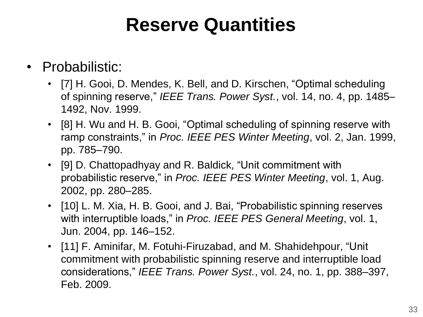### **Reserve Quantities**

#### • Probabilistic:

- [7] H. Gooi, D. Mendes, K. Bell, and D. Kirschen, "Optimal scheduling of spinning reserve," *IEEE Trans. Power Syst.*, vol. 14, no. 4, pp. 1485– 1492, Nov. 1999.
- [8] H. Wu and H. B. Gooi, "Optimal scheduling of spinning reserve with ramp constraints," in *Proc. IEEE PES Winter Meeting*, vol. 2, Jan. 1999, pp. 785–790.
- [9] D. Chattopadhyay and R. Baldick, "Unit commitment with probabilistic reserve," in *Proc. IEEE PES Winter Meeting*, vol. 1, Aug. 2002, pp. 280–285.
- [10] L. M. Xia, H. B. Gooi, and J. Bai, "Probabilistic spinning reserves with interruptible loads," in *Proc. IEEE PES General Meeting*, vol. 1, Jun. 2004, pp. 146–152.
- [11] F. Aminifar, M. Fotuhi-Firuzabad, and M. Shahidehpour, "Unit commitment with probabilistic spinning reserve and interruptible load considerations," *IEEE Trans. Power Syst.*, vol. 24, no. 1, pp. 388–397, Feb. 2009.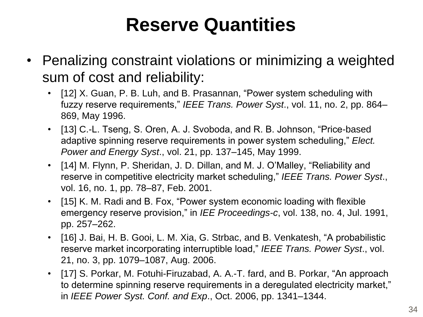## **Reserve Quantities**

- Penalizing constraint violations or minimizing a weighted sum of cost and reliability:
	- [12] X. Guan, P. B. Luh, and B. Prasannan, "Power system scheduling with fuzzy reserve requirements," *IEEE Trans. Power Syst*., vol. 11, no. 2, pp. 864– 869, May 1996.
	- [13] C.-L. Tseng, S. Oren, A. J. Svoboda, and R. B. Johnson, "Price-based adaptive spinning reserve requirements in power system scheduling," *Elect. Power and Energy Syst*., vol. 21, pp. 137–145, May 1999.
	- [14] M. Flynn, P. Sheridan, J. D. Dillan, and M. J. O'Malley, "Reliability and reserve in competitive electricity market scheduling," *IEEE Trans. Power Syst*., vol. 16, no. 1, pp. 78–87, Feb. 2001.
	- [15] K. M. Radi and B. Fox, "Power system economic loading with flexible emergency reserve provision," in *IEE Proceedings-c*, vol. 138, no. 4, Jul. 1991, pp. 257–262.
	- [16] J. Bai, H. B. Gooi, L. M. Xia, G. Strbac, and B. Venkatesh, "A probabilistic reserve market incorporating interruptible load," *IEEE Trans. Power Syst*., vol. 21, no. 3, pp. 1079–1087, Aug. 2006.
	- [17] S. Porkar, M. Fotuhi-Firuzabad, A. A.-T. fard, and B. Porkar, "An approach to determine spinning reserve requirements in a deregulated electricity market," in *IEEE Power Syst. Conf. and Exp*., Oct. 2006, pp. 1341–1344.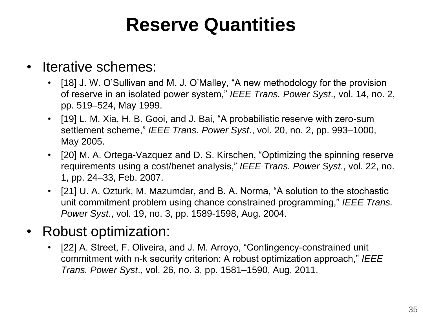## **Reserve Quantities**

#### • Iterative schemes:

- [18] J. W. O'Sullivan and M. J. O'Malley, "A new methodology for the provision of reserve in an isolated power system," *IEEE Trans. Power Syst*., vol. 14, no. 2, pp. 519–524, May 1999.
- [19] L. M. Xia, H. B. Gooi, and J. Bai, "A probabilistic reserve with zero-sum settlement scheme," *IEEE Trans. Power Syst*., vol. 20, no. 2, pp. 993–1000, May 2005.
- [20] M. A. Ortega-Vazquez and D. S. Kirschen, "Optimizing the spinning reserve requirements using a cost/benet analysis," *IEEE Trans. Power Syst*., vol. 22, no. 1, pp. 24–33, Feb. 2007.
- [21] U. A. Ozturk, M. Mazumdar, and B. A. Norma, "A solution to the stochastic unit commitment problem using chance constrained programming," *IEEE Trans. Power Syst*., vol. 19, no. 3, pp. 1589-1598, Aug. 2004.

#### • Robust optimization:

• [22] A. Street, F. Oliveira, and J. M. Arroyo, "Contingency-constrained unit commitment with n-k security criterion: A robust optimization approach," *IEEE Trans. Power Syst*., vol. 26, no. 3, pp. 1581–1590, Aug. 2011.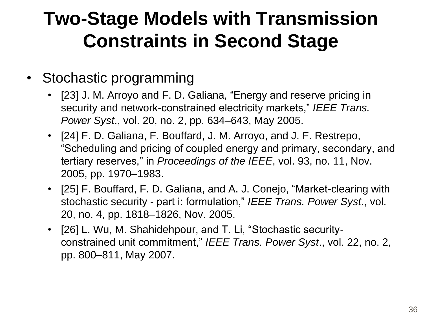## **Two-Stage Models with Transmission Constraints in Second Stage**

#### • Stochastic programming

- [23] J. M. Arroyo and F. D. Galiana, "Energy and reserve pricing in security and network-constrained electricity markets," *IEEE Trans. Power Syst*., vol. 20, no. 2, pp. 634–643, May 2005.
- [24] F. D. Galiana, F. Bouffard, J. M. Arroyo, and J. F. Restrepo, "Scheduling and pricing of coupled energy and primary, secondary, and tertiary reserves," in *Proceedings of the IEEE*, vol. 93, no. 11, Nov. 2005, pp. 1970–1983.
- [25] F. Bouffard, F. D. Galiana, and A. J. Conejo, "Market-clearing with stochastic security - part i: formulation," *IEEE Trans. Power Syst*., vol. 20, no. 4, pp. 1818–1826, Nov. 2005.
- [26] L. Wu, M. Shahidehpour, and T. Li, "Stochastic securityconstrained unit commitment," *IEEE Trans. Power Syst*., vol. 22, no. 2, pp. 800–811, May 2007.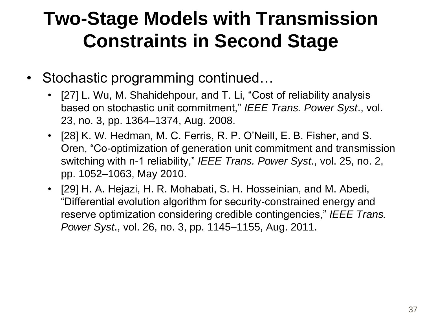## **Two-Stage Models with Transmission Constraints in Second Stage**

- Stochastic programming continued...
	- [27] L. Wu, M. Shahidehpour, and T. Li, "Cost of reliability analysis based on stochastic unit commitment," *IEEE Trans. Power Syst*., vol. 23, no. 3, pp. 1364–1374, Aug. 2008.
	- [28] K. W. Hedman, M. C. Ferris, R. P. O'Neill, E. B. Fisher, and S. Oren, "Co-optimization of generation unit commitment and transmission switching with n-1 reliability," *IEEE Trans. Power Syst*., vol. 25, no. 2, pp. 1052–1063, May 2010.
	- [29] H. A. Hejazi, H. R. Mohabati, S. H. Hosseinian, and M. Abedi, "Differential evolution algorithm for security-constrained energy and reserve optimization considering credible contingencies," *IEEE Trans. Power Syst*., vol. 26, no. 3, pp. 1145–1155, Aug. 2011.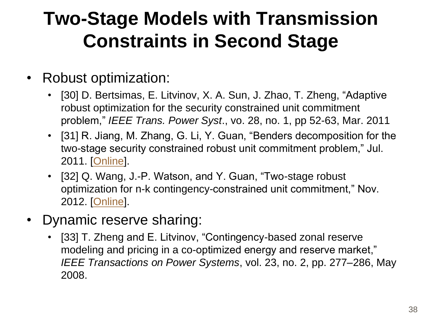## **Two-Stage Models with Transmission Constraints in Second Stage**

#### • Robust optimization:

- [30] D. Bertsimas, E. Litvinov, X. A. Sun, J. Zhao, T. Zheng, "Adaptive robust optimization for the security constrained unit commitment problem," *IEEE Trans. Power Syst*., vo. 28, no. 1, pp 52-63, Mar. 2011
- [31] R. Jiang, M. Zhang, G. Li, Y. Guan, "Benders decomposition for the two-stage security constrained robust unit commitment problem," Jul. 2011. [[Online\]](http://www.optimization-online.org/DB_HTML/2011/07/3102.html).
- [32] Q. Wang, J.-P. Watson, and Y. Guan, "Two-stage robust optimization for n-k contingency-constrained unit commitment," Nov. 2012. [[Online\]](http://www.optimization-online.org/DB HTML/2012/01/3332.html).
- Dynamic reserve sharing:
	- [33] T. Zheng and E. Litvinov, "Contingency-based zonal reserve modeling and pricing in a co-optimized energy and reserve market," *IEEE Transactions on Power Systems*, vol. 23, no. 2, pp. 277–286, May 2008.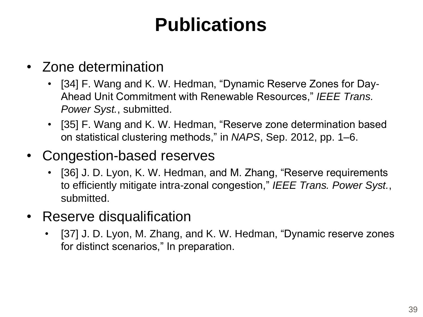## **Publications**

- Zone determination
	- [34] F. Wang and K. W. Hedman, "Dynamic Reserve Zones for Day-Ahead Unit Commitment with Renewable Resources," *IEEE Trans. Power Syst.*, submitted.
	- [35] F. Wang and K. W. Hedman, "Reserve zone determination based on statistical clustering methods," in *NAPS*, Sep. 2012, pp. 1–6.
- Congestion-based reserves
	- [36] J. D. Lyon, K. W. Hedman, and M. Zhang, "Reserve requirements to efficiently mitigate intra-zonal congestion," *IEEE Trans. Power Syst.*, submitted.
- Reserve disqualification
	- [37] J. D. Lyon, M. Zhang, and K. W. Hedman, "Dynamic reserve zones for distinct scenarios," In preparation.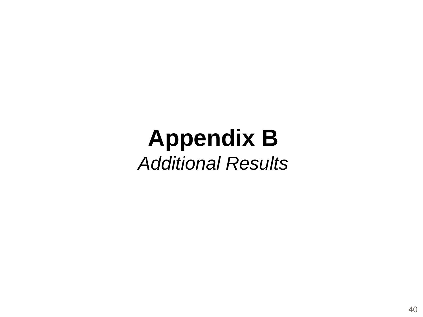## **Appendix B** *Additional Results*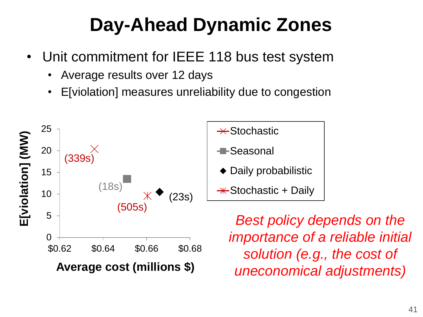## **Day-Ahead Dynamic Zones**

- Unit commitment for IEEE 118 bus test system
	- Average results over 12 days
	- E[violation] measures unreliability due to congestion





*Best policy depends on the importance of a reliable initial solution (e.g., the cost of uneconomical adjustments)*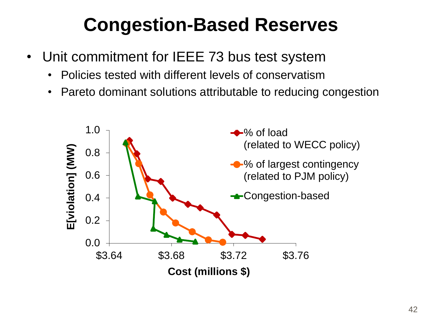## **Congestion-Based Reserves**

- Unit commitment for IEEE 73 bus test system
	- Policies tested with different levels of conservatism
	- Pareto dominant solutions attributable to reducing congestion

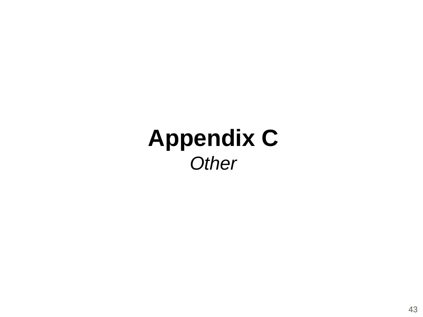## **Appendix C** *Other*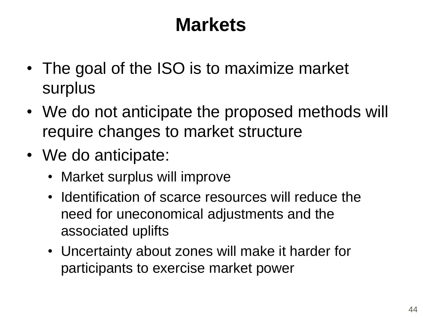## **Markets**

- The goal of the ISO is to maximize market surplus
- We do not anticipate the proposed methods will require changes to market structure
- We do anticipate:
	- Market surplus will improve
	- Identification of scarce resources will reduce the need for uneconomical adjustments and the associated uplifts
	- Uncertainty about zones will make it harder for participants to exercise market power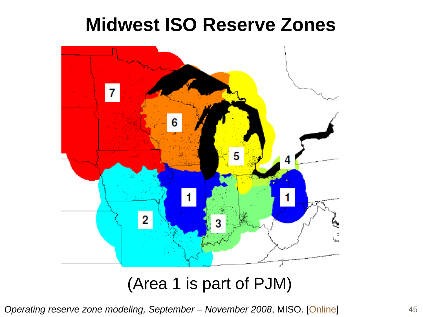#### **Midwest ISO Reserve Zones**



#### (Area 1 is part of PJM)

*Operating reserve zone modeling, September – November 2008*, MISO. [\[Online](https://www.midwestiso.org/Library/Repository/Meeting Material/Stakeholder/RSC/2008/20080721-22/2008072122 RSC Operating Reserve Zone Modeling.pdf)]